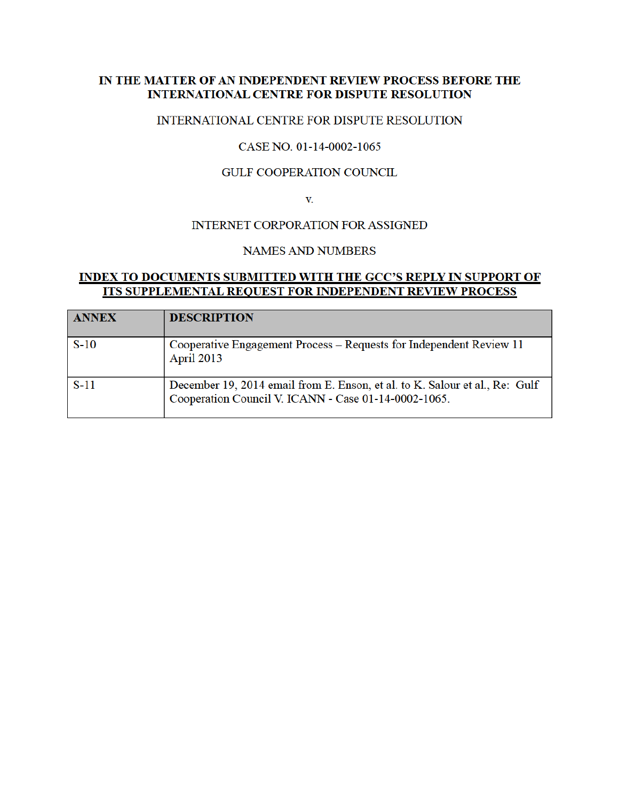### IN THE MATTER OF AN INDEPENDENT REVIEW PROCESS BEFORE THE **INTERNATIONAL CENTRE FOR DISPUTE RESOLUTION**

### INTERNATIONAL CENTRE FOR DISPUTE RESOLUTION

### CASE NO. 01-14-0002-1065

#### **GULF COOPERATION COUNCIL**

V.

### **INTERNET CORPORATION FOR ASSIGNED**

### **NAMES AND NUMBERS**

## **INDEX TO DOCUMENTS SUBMITTED WITH THE GCC'S REPLY IN SUPPORT OF ITS SUPPLEMENTAL REQUEST FOR INDEPENDENT REVIEW PROCESS**

| <b>ANNEX</b> | <b>DESCRIPTION</b>                                                                                                               |
|--------------|----------------------------------------------------------------------------------------------------------------------------------|
| $S-10$       | Cooperative Engagement Process – Requests for Independent Review 11<br><b>April 2013</b>                                         |
| $S-11$       | December 19, 2014 email from E. Enson, et al. to K. Salour et al., Re: Gulf Cooperation Council V. ICANN - Case 01-14-0002-1065. |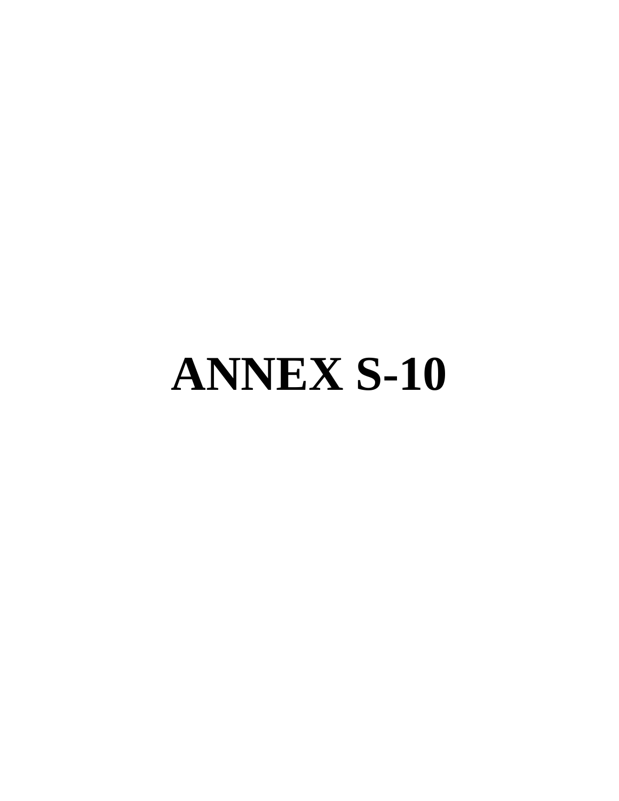# **ANNEX S-10**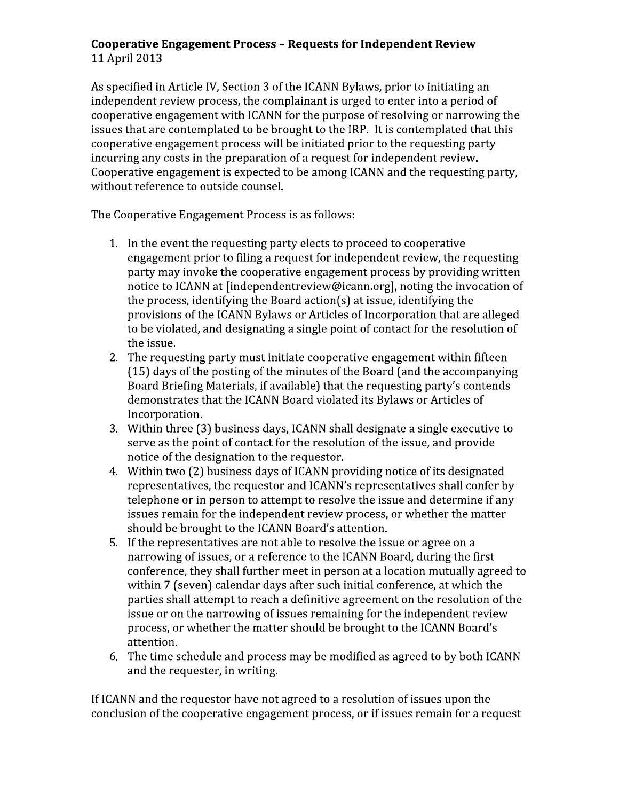# Cooperative Engagement Process - Requests for Independent Review 11 April 2013

As specified in Article IV, Section 3 of the ICANN Bylaws, prior to initiating an independent review process, the complainant is urged to enter into a period of cooperative engagement with ICANN for the purpose of resolving or narrowing the issues that are contemplated to be brought to the IRP. It is contemplated that this cooperative engagement process will be initiated prior to the requesting party incurring any costs in the preparation of a request for independent review. Cooperative engagement is expected to be among ICANN and the requesting party, without reference to outside counsel.

The Cooperative Engagement Process is as follows:

- 1. In the event the requesting party elects to proceed to cooperative engagement prior to filing a request for independent review, the requesting party may invoke the cooperative engagement process by providing written notice to ICANN at [independentreview@icann.org], noting the invocation of the process, identifying the Board action(s) at issue, identifying the provisions of the ICANN Bylaws or Articles of Incorporation that are alleged to be violated, and designating a single point of contact for the resolution of the issue.
- 2. The requesting party must initiate cooperative engagement within fifteen (15) days of the posting of the minutes of the Board (and the accompanying Board Briefing Materials, if available) that the requesting party's contends demonstrates that the ICANN Board violated its Bylaws or Articles of Incorporation
- 3. Within three (3) business days, ICANN shall designate a single executive to serve as the point of contact for the resolution of the issue, and provide notice of the designation to the requestor.
- 4. Within two (2) business days of ICANN providing notice of its designated representatives, the requestor and ICANN's representatives shall confer by telephone or in person to attempt to resolve the issue and determine if any issues remain for the independent review process, or whether the matter should be brought to the ICANN Board's attention.
- 5. If the representatives are not able to resolve the issue or agree on a narrowing of issues, or a reference to the ICANN Board, during the first conference, they shall further meet in person at a location mutually agreed to within 7 (seven) calendar days after such initial conference, at which the parties shall attempt to reach a definitive agreement on the resolution of the issue or on the narrowing of issues remaining for the independent review process, or whether the matter should be brought to the ICANN Board's attention.
- 6. The time schedule and process may be modified as agreed to by both ICANN and the requester, in writing.

If ICANN and the requestor have not agreed to a resolution of issues upon the conclusion of the cooperative engagement process, or if issues remain for a request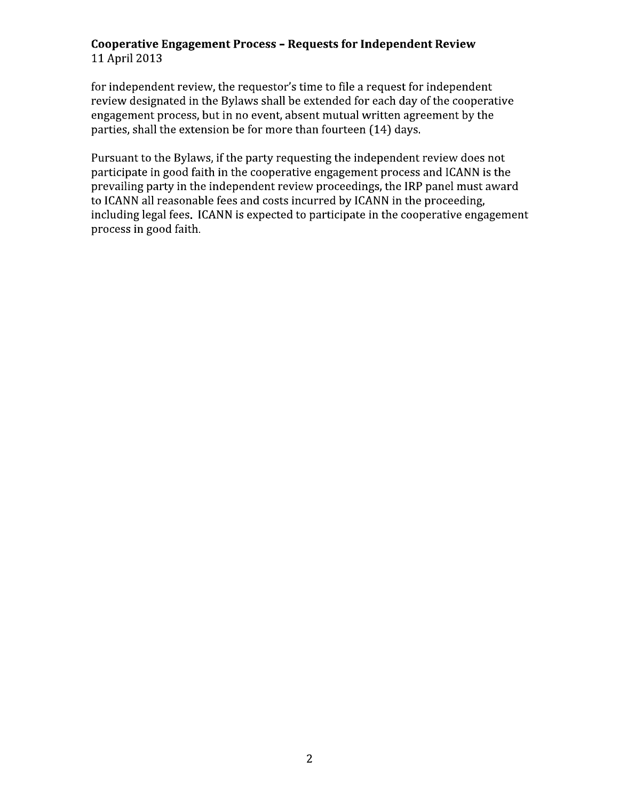# Cooperative Engagement Process - Requests for Independent Review 11 April 2013

for independent review, the requestor's time to file a request for independent review designated in the Bylaws shall be extended for each day of the cooperative engagement process, but in no event, absent mutual written agreement by the parties, shall the extension be for more than fourteen (14) days.

Pursuant to the Bylaws, if the party requesting the independent review does not participate in good faith in the cooperative engagement process and ICANN is the prevailing party in the independent review proceedings, the IRP panel must award to ICANN all reasonable fees and costs incurred by ICANN in the proceeding, including legal fees. ICANN is expected to participate in the cooperative engagement process in good faith.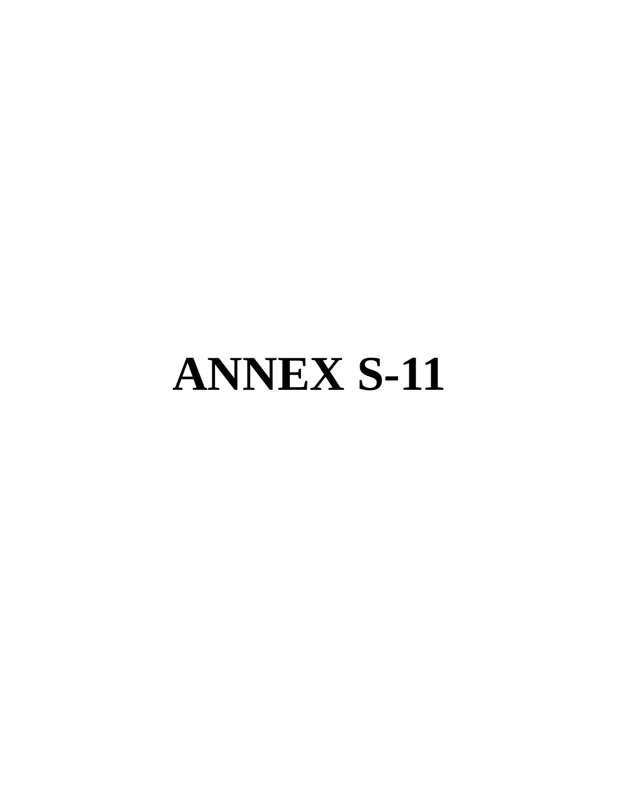# **ANNEX S-11**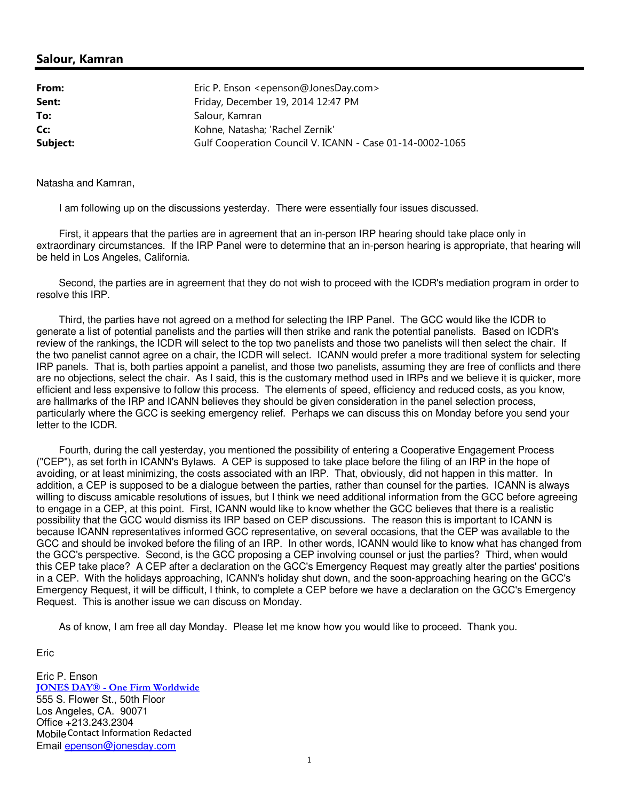### **Salour, Kamran**

| From:    | Eric P. Enson <epenson@jonesday.com></epenson@jonesday.com> |
|----------|-------------------------------------------------------------|
| Sent:    | Friday, December 19, 2014 12:47 PM                          |
| To:      | Salour, Kamran                                              |
| Cc:      | Kohne, Natasha; 'Rachel Zernik'                             |
| Subject: | Gulf Cooperation Council V. ICANN - Case 01-14-0002-1065    |

Natasha and Kamran,

I am following up on the discussions yesterday. There were essentially four issues discussed.

 First, it appears that the parties are in agreement that an in-person IRP hearing should take place only in extraordinary circumstances. If the IRP Panel were to determine that an in-person hearing is appropriate, that hearing will be held in Los Angeles, California.

 Second, the parties are in agreement that they do not wish to proceed with the ICDR's mediation program in order to resolve this IRP.

 Third, the parties have not agreed on a method for selecting the IRP Panel. The GCC would like the ICDR to generate a list of potential panelists and the parties will then strike and rank the potential panelists. Based on ICDR's review of the rankings, the ICDR will select to the top two panelists and those two panelists will then select the chair. If the two panelist cannot agree on a chair, the ICDR will select. ICANN would prefer a more traditional system for selecting IRP panels. That is, both parties appoint a panelist, and those two panelists, assuming they are free of conflicts and there are no objections, select the chair. As I said, this is the customary method used in IRPs and we believe it is quicker, more efficient and less expensive to follow this process. The elements of speed, efficiency and reduced costs, as you know, are hallmarks of the IRP and ICANN believes they should be given consideration in the panel selection process, particularly where the GCC is seeking emergency relief. Perhaps we can discuss this on Monday before you send your letter to the ICDR.

 Fourth, during the call yesterday, you mentioned the possibility of entering a Cooperative Engagement Process ("CEP"), as set forth in ICANN's Bylaws. A CEP is supposed to take place before the filing of an IRP in the hope of avoiding, or at least minimizing, the costs associated with an IRP. That, obviously, did not happen in this matter. In addition, a CEP is supposed to be a dialogue between the parties, rather than counsel for the parties. ICANN is always willing to discuss amicable resolutions of issues, but I think we need additional information from the GCC before agreeing to engage in a CEP, at this point. First, ICANN would like to know whether the GCC believes that there is a realistic possibility that the GCC would dismiss its IRP based on CEP discussions. The reason this is important to ICANN is because ICANN representatives informed GCC representative, on several occasions, that the CEP was available to the GCC and should be invoked before the filing of an IRP. In other words, ICANN would like to know what has changed from the GCC's perspective. Second, is the GCC proposing a CEP involving counsel or just the parties? Third, when would this CEP take place? A CEP after a declaration on the GCC's Emergency Request may greatly alter the parties' positions in a CEP. With the holidays approaching, ICANN's holiday shut down, and the soon-approaching hearing on the GCC's Emergency Request, it will be difficult, I think, to complete a CEP before we have a declaration on the GCC's Emergency Request. This is another issue we can discuss on Monday.

As of know, I am free all day Monday. Please let me know how you would like to proceed. Thank you.

Eric

Eric P. Enson **JONES DAY® - One Firm Worldwide** 555 S. Flower St., 50th Floor Los Angeles, CA. 90071 Office +213.243.2304 Mobile Contact Information RedactedEmail epenson@jonesday.com